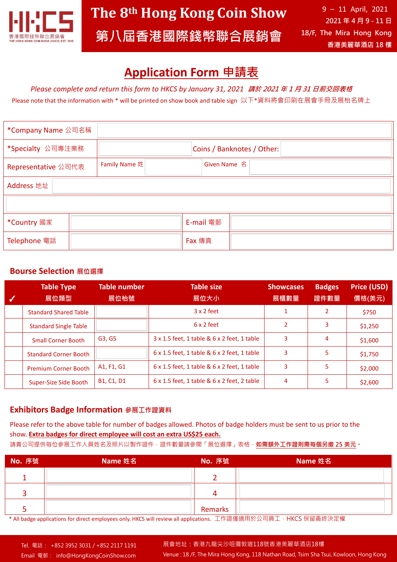

## **Application Form 申請表**

*Please complete and return this form to HKCS by January 31, 2021* **請於 <sup>2021</sup> 年 <sup>1</sup> 月 <sup>31</sup> 日前交回表格**

Please note that the information with \* will be printed on show book and table sign 以下\*資料將會印刷在展會手冊及展枱名牌上

| *Company Name 公司名稱  |               |           |                            |  |  |  |
|---------------------|---------------|-----------|----------------------------|--|--|--|
| *Specialty 公司專注業務   |               |           | Coins / Banknotes / Other: |  |  |  |
| Representative 公司代表 | Family Name 姓 |           | Given Name 名               |  |  |  |
| Address 地址          |               |           |                            |  |  |  |
|                     |               |           |                            |  |  |  |
| *Country 國家         |               | E-mail 電郵 |                            |  |  |  |
| Telephone 電話        |               | Fax 傳真    |                            |  |  |  |

## **Bourse Selection 展位選擇**

| <b>Table Type</b><br>展位類型    | <b>Table number</b><br>展位枱號                      | <b>Table size</b><br>展位大小                                 | <b>Showcases</b><br>展櫃數量 | <b>Badges</b><br>證件數量 | <b>Price (USD)</b><br>價格(美元) |
|------------------------------|--------------------------------------------------|-----------------------------------------------------------|--------------------------|-----------------------|------------------------------|
| <b>Standard Shared Table</b> |                                                  | $3 \times 2$ feet                                         |                          | $\overline{2}$        | \$750                        |
| <b>Standard Single Table</b> |                                                  | $6 \times 2$ feet                                         | 2                        | 3                     | \$1,250                      |
| <b>Small Corner Booth</b>    | G3, G5                                           | 3 x 1.5 feet, 1 table & 6 x 2 feet, 1 table               | 3                        | 4                     | \$1,600                      |
| <b>Standard Corner Booth</b> |                                                  | 6 x 1.5 feet, 1 table & 6 x 2 feet, 1 table               | 3                        | 5                     | \$1,750                      |
| <b>Premium Corner Booth</b>  | A1, F1, G1                                       | 6 x 1.5 feet, 1 table & 6 x 2 feet, 1 table               | 3                        | 5                     | \$2,000                      |
| Super-Size Side Booth        | B <sub>1</sub> , C <sub>1</sub> , D <sub>1</sub> | $6 \times 1.5$ feet, 1 table & $6 \times 2$ feet, 2 table | 4                        |                       | \$2,600                      |

## **Exhibitors Badge Information 參展工作證資料**

Please refer to the above table for number of badges allowed. Photos of badge holders must be sent to us prior to the show. **Extra badges for direct employee will cost an extra US\$25 each.**

請貴公司提供每位參展工作人員姓名及照片以製作證件,證件數量請參閱「展位選擇」表格,**如需額外工作證則需每個另繳 25 美元。**

| No. 序號 | Name 姓名 | No. 序號  | Name 姓名 |
|--------|---------|---------|---------|
|        |         |         |         |
|        |         | 4       |         |
|        |         | Remarks |         |

\* All badge applications for direct employees only. HKCS will review all applications. 工作證僅適用於公司員工,HKCS 保留最終決定權

Venue : 18 /F, The Mira Hong Kong, 118 Nathan Road, Tsim Sha Tsui, Kowloon, Hong Kong